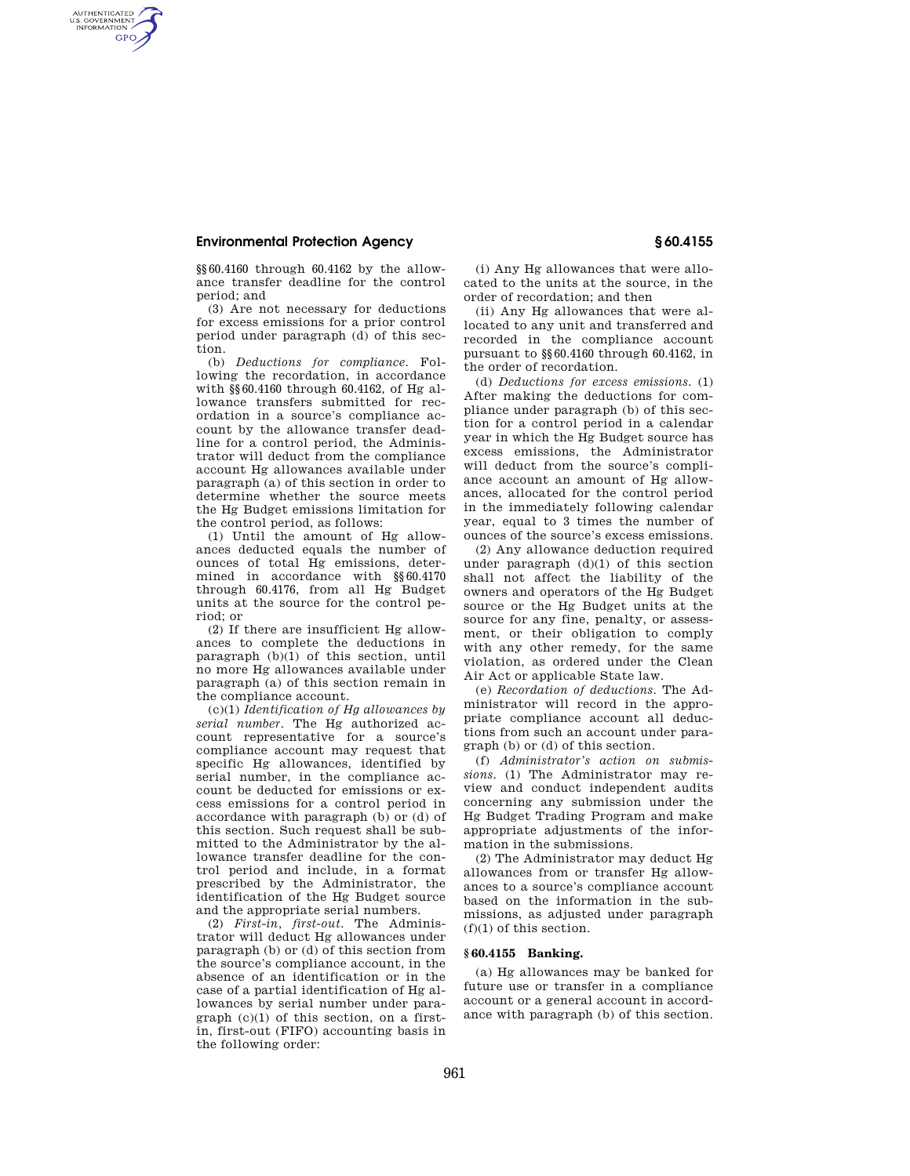# **Environmental Protection Agency § 60.4155**

AUTHENTICATED<br>U.S. GOVERNMENT<br>INFORMATION **GPO** 

> §§60.4160 through 60.4162 by the allowance transfer deadline for the control period; and

(3) Are not necessary for deductions for excess emissions for a prior control period under paragraph (d) of this section.

(b) *Deductions for compliance.* Following the recordation, in accordance with §§60.4160 through 60.4162, of Hg allowance transfers submitted for recordation in a source's compliance account by the allowance transfer deadline for a control period, the Administrator will deduct from the compliance account Hg allowances available under paragraph (a) of this section in order to determine whether the source meets the Hg Budget emissions limitation for the control period, as follows:

(1) Until the amount of Hg allowances deducted equals the number of ounces of total Hg emissions, determined in accordance with §§60.4170 through 60.4176, from all Hg Budget units at the source for the control period; or

(2) If there are insufficient Hg allowances to complete the deductions in paragraph  $(b)(1)$  of this section, until no more Hg allowances available under paragraph (a) of this section remain in the compliance account.

(c)(1) *Identification of Hg allowances by serial number.* The Hg authorized account representative for a source's compliance account may request that specific Hg allowances, identified by serial number, in the compliance account be deducted for emissions or excess emissions for a control period in accordance with paragraph (b) or (d) of this section. Such request shall be submitted to the Administrator by the allowance transfer deadline for the control period and include, in a format prescribed by the Administrator, the identification of the Hg Budget source and the appropriate serial numbers.

(2) *First-in, first-out.* The Administrator will deduct Hg allowances under paragraph (b) or (d) of this section from the source's compliance account, in the absence of an identification or in the case of a partial identification of Hg allowances by serial number under paragraph (c)(1) of this section, on a firstin, first-out (FIFO) accounting basis in the following order:

(i) Any Hg allowances that were allocated to the units at the source, in the order of recordation; and then

(ii) Any Hg allowances that were allocated to any unit and transferred and recorded in the compliance account pursuant to §§60.4160 through 60.4162, in the order of recordation.

(d) *Deductions for excess emissions.* (1) After making the deductions for compliance under paragraph (b) of this section for a control period in a calendar year in which the Hg Budget source has excess emissions, the Administrator will deduct from the source's compliance account an amount of Hg allowances, allocated for the control period in the immediately following calendar year, equal to 3 times the number of ounces of the source's excess emissions.

(2) Any allowance deduction required under paragraph (d)(1) of this section shall not affect the liability of the owners and operators of the Hg Budget source or the Hg Budget units at the source for any fine, penalty, or assessment, or their obligation to comply with any other remedy, for the same violation, as ordered under the Clean Air Act or applicable State law.

(e) *Recordation of deductions.* The Administrator will record in the appropriate compliance account all deductions from such an account under paragraph (b) or (d) of this section.

(f) *Administrator's action on submissions.* (1) The Administrator may review and conduct independent audits concerning any submission under the Hg Budget Trading Program and make appropriate adjustments of the information in the submissions.

(2) The Administrator may deduct Hg allowances from or transfer Hg allowances to a source's compliance account based on the information in the submissions, as adjusted under paragraph (f)(1) of this section.

## **§ 60.4155 Banking.**

(a) Hg allowances may be banked for future use or transfer in a compliance account or a general account in accordance with paragraph (b) of this section.